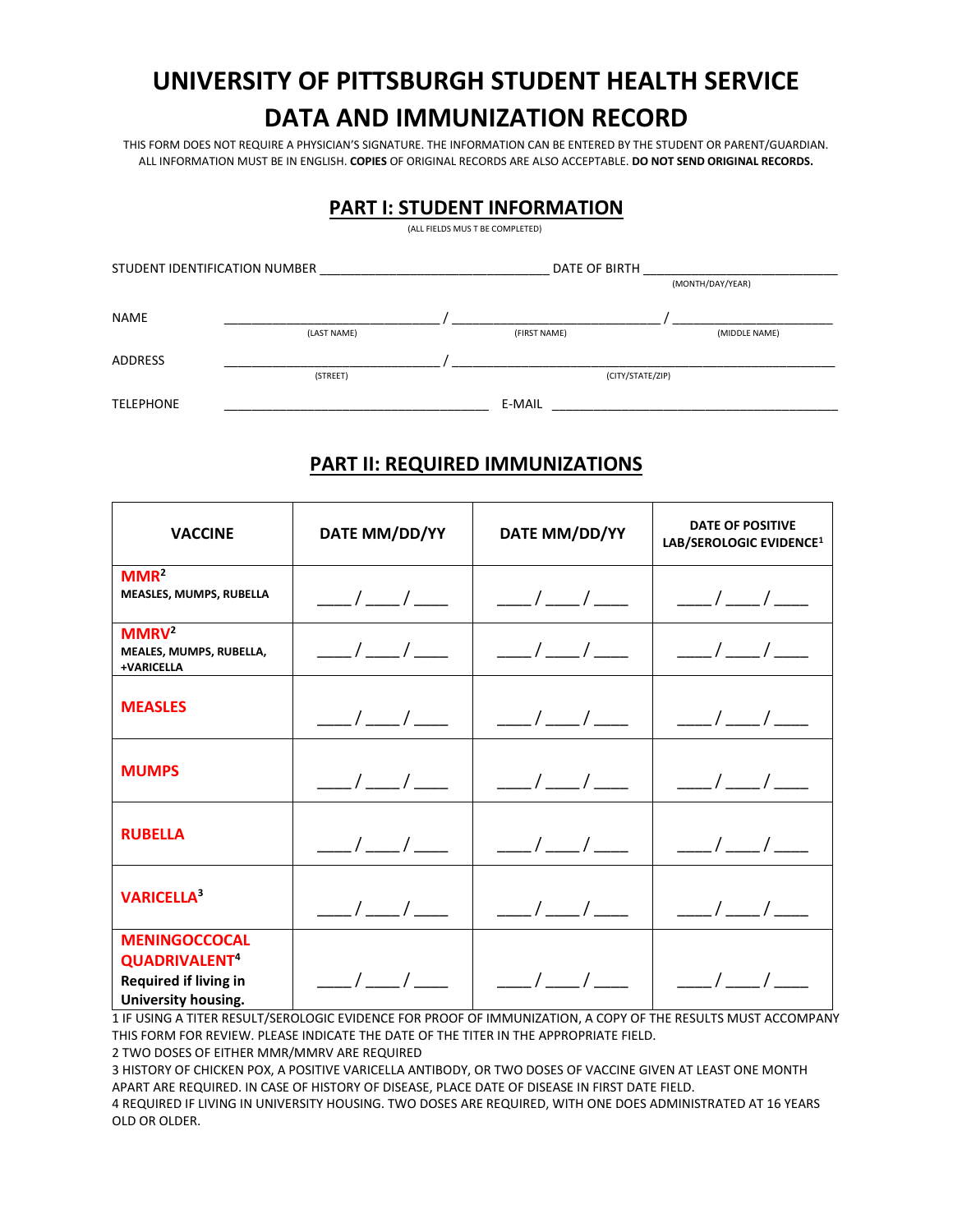# **UNIVERSITY OF PITTSBURGH STUDENT HEALTH SERVICE DATA AND IMMUNIZATION RECORD**

THIS FORM DOES NOT REQUIRE A PHYSICIAN'S SIGNATURE. THE INFORMATION CAN BE ENTERED BY THE STUDENT OR PARENT/GUARDIAN. ALL INFORMATION MUST BE IN ENGLISH. **COPIES** OF ORIGINAL RECORDS ARE ALSO ACCEPTABLE. **DO NOT SEND ORIGINAL RECORDS.** 

#### **PART I: STUDENT INFORMATION**

(ALL FIELDS MUS T BE COMPLETED)

| STUDENT IDENTIFICATION NUMBER |             | DATE OF BIRTH |                  |                  |
|-------------------------------|-------------|---------------|------------------|------------------|
|                               |             |               |                  | (MONTH/DAY/YEAR) |
| <b>NAME</b>                   |             |               |                  |                  |
|                               | (LAST NAME) |               | (FIRST NAME)     | (MIDDLE NAME)    |
| ADDRESS                       |             |               |                  |                  |
|                               | (STREET)    |               | (CITY/STATE/ZIP) |                  |
| <b>TELEPHONE</b>              |             |               | E-MAIL           |                  |

#### **PART II: REQUIRED IMMUNIZATIONS**

| <b>VACCINE</b>                                                                                    | DATE MM/DD/YY           | DATE MM/DD/YY                                                                                                          | <b>DATE OF POSITIVE</b><br>LAB/SEROLOGIC EVIDENCE <sup>1</sup>         |
|---------------------------------------------------------------------------------------------------|-------------------------|------------------------------------------------------------------------------------------------------------------------|------------------------------------------------------------------------|
| MMR <sup>2</sup><br>MEASLES, MUMPS, RUBELLA                                                       | $\frac{\frac{1}{2}}{2}$ | $\frac{\frac{1}{2}}{2}$                                                                                                | $\vert$ _/_/_/_                                                        |
| MMRV <sup>2</sup><br>MEALES, MUMPS, RUBELLA,<br>+VARICELLA                                        | $\frac{1}{\sqrt{2}}$    | $\vert$ __/__/___                                                                                                      | $\frac{\frac{1}{2}}{2}$                                                |
| <b>MEASLES</b>                                                                                    | $\frac{\frac{1}{2}}{2}$ |                                                                                                                        | $\begin{array}{c} \begin{array}{c} \end{array} \end{array}$            |
| <b>MUMPS</b>                                                                                      | $\frac{\frac{1}{2}}{2}$ | $\frac{\frac{1}{2}}{2}$                                                                                                | $\frac{\mu}{\mu}=\frac{1}{2}\left( \frac{\mu}{\mu}+\frac{1}{2}\right)$ |
| <b>RUBELLA</b>                                                                                    |                         | $\frac{\frac{1}{2}}{2}$                                                                                                | $\frac{\frac{1}{2}}{2}$                                                |
| <b>VARICELLA3</b>                                                                                 | ___/___/___             | $\frac{\mu}{\sigma} = \frac{1}{2} \left( \frac{\mu}{\sigma} \right)^2 \frac{1}{2} \left( \frac{\mu}{\sigma} \right)^2$ | $\frac{\frac{1}{2}}{2}$                                                |
| <b>MENINGOCCOCAL</b><br>QUADRIVALENT <sup>4</sup><br>Required if living in<br>University housing. |                         | $\frac{1}{2}$                                                                                                          |                                                                        |

1 IF USING A TITER RESULT/SEROLOGIC EVIDENCE FOR PROOF OF IMMUNIZATION, A COPY OF THE RESULTS MUST ACCOMPANY THIS FORM FOR REVIEW. PLEASE INDICATE THE DATE OF THE TITER IN THE APPROPRIATE FIELD.

2 TWO DOSES OF EITHER MMR/MMRV ARE REQUIRED

3 HISTORY OF CHICKEN POX, A POSITIVE VARICELLA ANTIBODY, OR TWO DOSES OF VACCINE GIVEN AT LEAST ONE MONTH APART ARE REQUIRED. IN CASE OF HISTORY OF DISEASE, PLACE DATE OF DISEASE IN FIRST DATE FIELD. 4 REQUIRED IF LIVING IN UNIVERSITY HOUSING. TWO DOSES ARE REQUIRED, WITH ONE DOES ADMINISTRATED AT 16 YEARS OLD OR OLDER.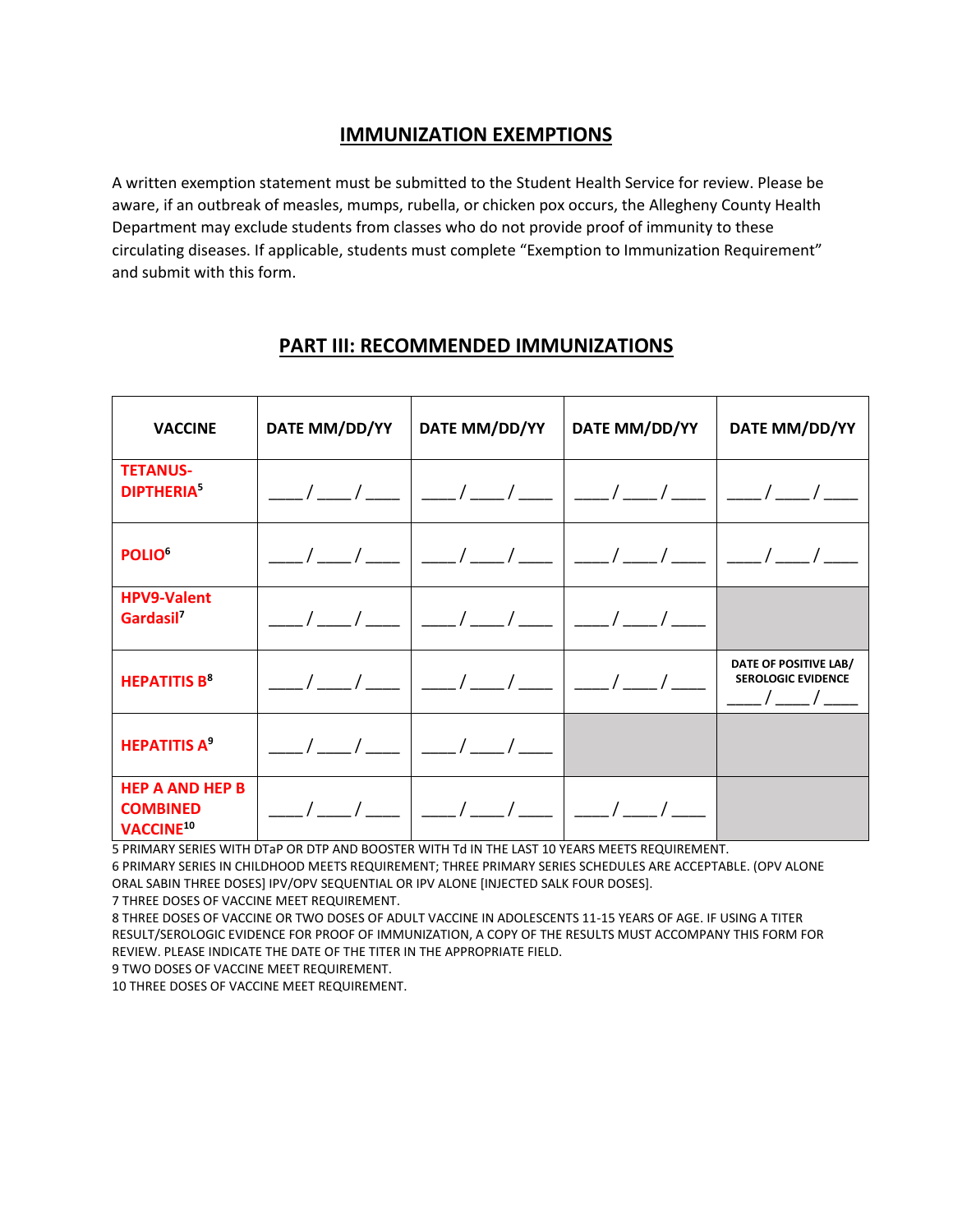# **IMMUNIZATION EXEMPTIONS**

A written exemption statement must be submitted to the Student Health Service for review. Please be aware, if an outbreak of measles, mumps, rubella, or chicken pox occurs, the Allegheny County Health Department may exclude students from classes who do not provide proof of immunity to these circulating diseases. If applicable, students must complete "Exemption to Immunization Requirement" and submit with this form.

| <b>VACCINE</b>                                                     | DATE MM/DD/YY | DATE MM/DD/YY                         | DATE MM/DD/YY | DATE MM/DD/YY                                                     |
|--------------------------------------------------------------------|---------------|---------------------------------------|---------------|-------------------------------------------------------------------|
| <b>TETANUS-</b><br><b>DIPTHERIA</b>                                |               |                                       |               |                                                                   |
| POLIO <sup>6</sup>                                                 |               |                                       |               |                                                                   |
| <b>HPV9-Valent</b><br>Gardasil <sup>7</sup>                        |               | __/__/__   __/__/__   __/__/____      |               |                                                                   |
| <b>HEPATITIS B<sup>8</sup></b>                                     |               | __/__/__   __/__/___/___   __/___/___ |               | DATE OF POSITIVE LAB/<br><b>SEROLOGIC EVIDENCE</b><br>___/___/___ |
| <b>HEPATITIS A<sup>9</sup></b>                                     |               |                                       |               |                                                                   |
| <b>HEP A AND HEP B</b><br><b>COMBINED</b><br>VACCINE <sup>10</sup> |               |                                       |               |                                                                   |

### **PART III: RECOMMENDED IMMUNIZATIONS**

5 PRIMARY SERIES WITH DTaP OR DTP AND BOOSTER WITH Td IN THE LAST 10 YEARS MEETS REQUIREMENT.

6 PRIMARY SERIES IN CHILDHOOD MEETS REQUIREMENT; THREE PRIMARY SERIES SCHEDULES ARE ACCEPTABLE. (OPV ALONE ORAL SABIN THREE DOSES] IPV/OPV SEQUENTIAL OR IPV ALONE [INJECTED SALK FOUR DOSES].

7 THREE DOSES OF VACCINE MEET REQUIREMENT.

8 THREE DOSES OF VACCINE OR TWO DOSES OF ADULT VACCINE IN ADOLESCENTS 11-15 YEARS OF AGE. IF USING A TITER RESULT/SEROLOGIC EVIDENCE FOR PROOF OF IMMUNIZATION, A COPY OF THE RESULTS MUST ACCOMPANY THIS FORM FOR REVIEW. PLEASE INDICATE THE DATE OF THE TITER IN THE APPROPRIATE FIELD.

9 TWO DOSES OF VACCINE MEET REQUIREMENT.

10 THREE DOSES OF VACCINE MEET REQUIREMENT.